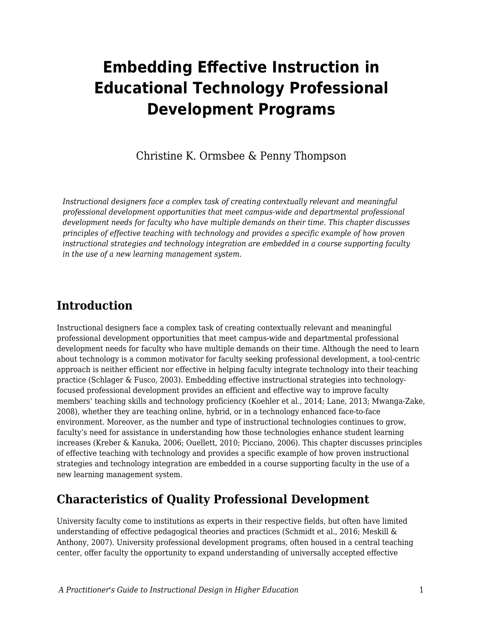# **Embedding Effective Instruction in Educational Technology Professional Development Programs**

Christine K. Ormsbee & Penny Thompson

*Instructional designers face a complex task of creating contextually relevant and meaningful professional development opportunities that meet campus-wide and departmental professional development needs for faculty who have multiple demands on their time. This chapter discusses principles of effective teaching with technology and provides a specific example of how proven instructional strategies and technology integration are embedded in a course supporting faculty in the use of a new learning management system.*

### **Introduction**

Instructional designers face a complex task of creating contextually relevant and meaningful professional development opportunities that meet campus-wide and departmental professional development needs for faculty who have multiple demands on their time. Although the need to learn about technology is a common motivator for faculty seeking professional development, a tool-centric approach is neither efficient nor effective in helping faculty integrate technology into their teaching practice (Schlager & Fusco, 2003). Embedding effective instructional strategies into technologyfocused professional development provides an efficient and effective way to improve faculty members' teaching skills and technology proficiency (Koehler et al., 2014; Lane, 2013; Mwanga-Zake, 2008), whether they are teaching online, hybrid, or in a technology enhanced face-to-face environment. Moreover, as the number and type of instructional technologies continues to grow, faculty's need for assistance in understanding how those technologies enhance student learning increases (Kreber & Kanuka, 2006; Ouellett, 2010; Picciano, 2006). This chapter discusses principles of effective teaching with technology and provides a specific example of how proven instructional strategies and technology integration are embedded in a course supporting faculty in the use of a new learning management system.

### **Characteristics of Quality Professional Development**

University faculty come to institutions as experts in their respective fields, but often have limited understanding of effective pedagogical theories and practices (Schmidt et al., 2016; Meskill & Anthony, 2007). University professional development programs, often housed in a central teaching center, offer faculty the opportunity to expand understanding of universally accepted effective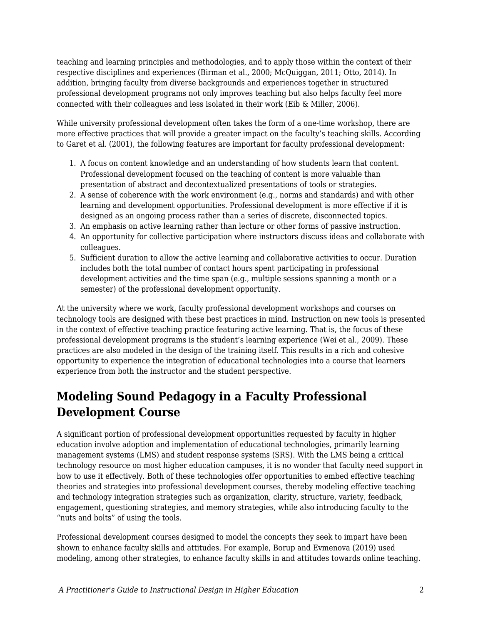teaching and learning principles and methodologies, and to apply those within the context of their respective disciplines and experiences (Birman et al., 2000; McQuiggan, 2011; Otto, 2014). In addition, bringing faculty from diverse backgrounds and experiences together in structured professional development programs not only improves teaching but also helps faculty feel more connected with their colleagues and less isolated in their work (Eib & Miller, 2006).

While university professional development often takes the form of a one-time workshop, there are more effective practices that will provide a greater impact on the faculty's teaching skills. According to Garet et al. (2001), the following features are important for faculty professional development:

- 1. A focus on content knowledge and an understanding of how students learn that content. Professional development focused on the teaching of content is more valuable than presentation of abstract and decontextualized presentations of tools or strategies.
- 2. A sense of coherence with the work environment (e.g., norms and standards) and with other learning and development opportunities. Professional development is more effective if it is designed as an ongoing process rather than a series of discrete, disconnected topics.
- 3. An emphasis on active learning rather than lecture or other forms of passive instruction.
- 4. An opportunity for collective participation where instructors discuss ideas and collaborate with colleagues.
- 5. Sufficient duration to allow the active learning and collaborative activities to occur. Duration includes both the total number of contact hours spent participating in professional development activities and the time span (e.g., multiple sessions spanning a month or a semester) of the professional development opportunity.

At the university where we work, faculty professional development workshops and courses on technology tools are designed with these best practices in mind. Instruction on new tools is presented in the context of effective teaching practice featuring active learning. That is, the focus of these professional development programs is the student's learning experience (Wei et al., 2009). These practices are also modeled in the design of the training itself. This results in a rich and cohesive opportunity to experience the integration of educational technologies into a course that learners experience from both the instructor and the student perspective.

## **Modeling Sound Pedagogy in a Faculty Professional Development Course**

A significant portion of professional development opportunities requested by faculty in higher education involve adoption and implementation of educational technologies, primarily learning management systems (LMS) and student response systems (SRS). With the LMS being a critical technology resource on most higher education campuses, it is no wonder that faculty need support in how to use it effectively. Both of these technologies offer opportunities to embed effective teaching theories and strategies into professional development courses, thereby modeling effective teaching and technology integration strategies such as organization, clarity, structure, variety, feedback, engagement, questioning strategies, and memory strategies, while also introducing faculty to the "nuts and bolts" of using the tools.

Professional development courses designed to model the concepts they seek to impart have been shown to enhance faculty skills and attitudes. For example, Borup and Evmenova (2019) used modeling, among other strategies, to enhance faculty skills in and attitudes towards online teaching.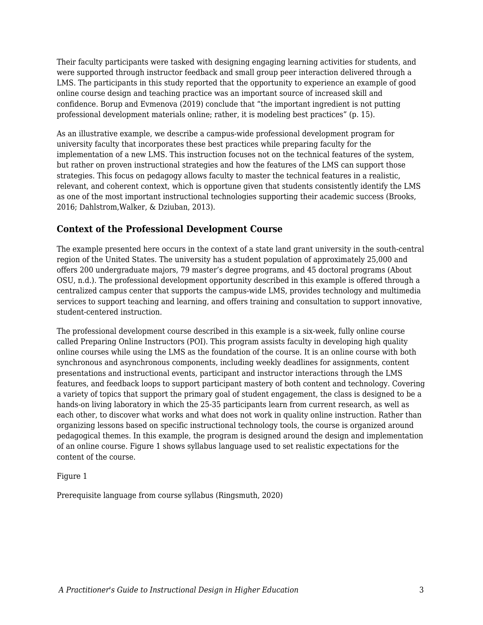Their faculty participants were tasked with designing engaging learning activities for students, and were supported through instructor feedback and small group peer interaction delivered through a LMS. The participants in this study reported that the opportunity to experience an example of good online course design and teaching practice was an important source of increased skill and confidence. Borup and Evmenova (2019) conclude that "the important ingredient is not putting professional development materials online; rather, it is modeling best practices" (p. 15).

As an illustrative example, we describe a campus-wide professional development program for university faculty that incorporates these best practices while preparing faculty for the implementation of a new LMS. This instruction focuses not on the technical features of the system, but rather on proven instructional strategies and how the features of the LMS can support those strategies. This focus on pedagogy allows faculty to master the technical features in a realistic, relevant, and coherent context, which is opportune given that students consistently identify the LMS as one of the most important instructional technologies supporting their academic success (Brooks, 2016; Dahlstrom,Walker, & Dziuban, 2013).

### **Context of the Professional Development Course**

The example presented here occurs in the context of a state land grant university in the south-central region of the United States. The university has a student population of approximately 25,000 and offers 200 undergraduate majors, 79 master's degree programs, and 45 doctoral programs (About OSU, n.d.). The professional development opportunity described in this example is offered through a centralized campus center that supports the campus-wide LMS, provides technology and multimedia services to support teaching and learning, and offers training and consultation to support innovative, student-centered instruction.

The professional development course described in this example is a six-week, fully online course called Preparing Online Instructors (POI). This program assists faculty in developing high quality online courses while using the LMS as the foundation of the course. It is an online course with both synchronous and asynchronous components, including weekly deadlines for assignments, content presentations and instructional events, participant and instructor interactions through the LMS features, and feedback loops to support participant mastery of both content and technology. Covering a variety of topics that support the primary goal of student engagement, the class is designed to be a hands-on living laboratory in which the 25-35 participants learn from current research, as well as each other, to discover what works and what does not work in quality online instruction. Rather than organizing lessons based on specific instructional technology tools, the course is organized around pedagogical themes. In this example, the program is designed around the design and implementation of an online course. Figure 1 shows syllabus language used to set realistic expectations for the content of the course.

#### Figure 1

Prerequisite language from course syllabus (Ringsmuth, 2020)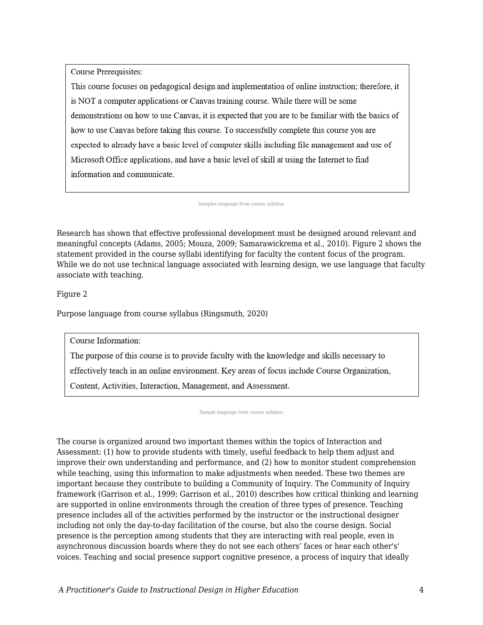Course Prerequisites:

This course focuses on pedagogical design and implementation of online instruction; therefore, it is NOT a computer applications or Canvas training course. While there will be some demonstrations on how to use Canvas, it is expected that you are to be familiar with the basics of how to use Canvas before taking this course. To successfully complete this course you are expected to already have a basic level of computer skills including file management and use of Microsoft Office applications, and have a basic level of skill at using the Internet to find information and communicate.

Samplee language from course syllabus

Research has shown that effective professional development must be designed around relevant and meaningful concepts (Adams, 2005; Mouza, 2009; Samarawickrema et al., 2010). Figure 2 shows the statement provided in the course syllabi identifying for faculty the content focus of the program. While we do not use technical language associated with learning design, we use language that faculty associate with teaching.

Figure 2

Purpose language from course syllabus (Ringsmuth, 2020)

Course Information:

The purpose of this course is to provide faculty with the knowledge and skills necessary to

effectively teach in an online environment. Key areas of focus include Course Organization,

Content, Activities, Interaction, Management, and Assessment.

Sample language from course syllabus

The course is organized around two important themes within the topics of Interaction and Assessment: (1) how to provide students with timely, useful feedback to help them adjust and improve their own understanding and performance, and (2) how to monitor student comprehension while teaching, using this information to make adjustments when needed. These two themes are important because they contribute to building a Community of Inquiry. The Community of Inquiry framework (Garrison et al., 1999; Garrison et al., 2010) describes how critical thinking and learning are supported in online environments through the creation of three types of presence. Teaching presence includes all of the activities performed by the instructor or the instructional designer including not only the day-to-day facilitation of the course, but also the course design. Social presence is the perception among students that they are interacting with real people, even in asynchronous discussion boards where they do not see each others' faces or hear each other's' voices. Teaching and social presence support cognitive presence, a process of inquiry that ideally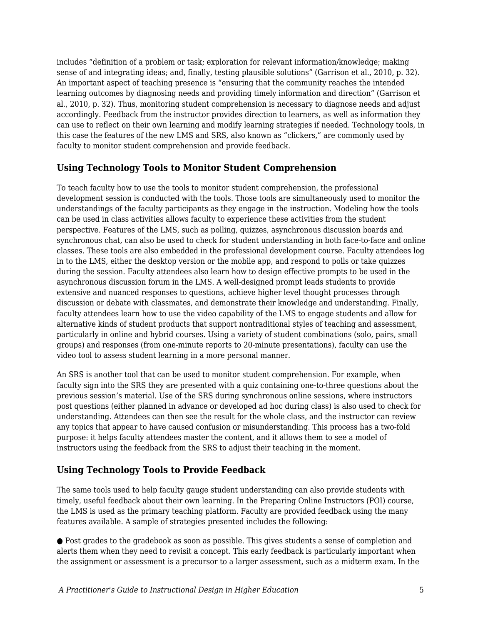includes "definition of a problem or task; exploration for relevant information/knowledge; making sense of and integrating ideas; and, finally, testing plausible solutions" (Garrison et al., 2010, p. 32). An important aspect of teaching presence is "ensuring that the community reaches the intended learning outcomes by diagnosing needs and providing timely information and direction" (Garrison et al., 2010, p. 32). Thus, monitoring student comprehension is necessary to diagnose needs and adjust accordingly. Feedback from the instructor provides direction to learners, as well as information they can use to reflect on their own learning and modify learning strategies if needed. Technology tools, in this case the features of the new LMS and SRS, also known as "clickers," are commonly used by faculty to monitor student comprehension and provide feedback.

#### **Using Technology Tools to Monitor Student Comprehension**

To teach faculty how to use the tools to monitor student comprehension, the professional development session is conducted with the tools. Those tools are simultaneously used to monitor the understandings of the faculty participants as they engage in the instruction. Modeling how the tools can be used in class activities allows faculty to experience these activities from the student perspective. Features of the LMS, such as polling, quizzes, asynchronous discussion boards and synchronous chat, can also be used to check for student understanding in both face-to-face and online classes. These tools are also embedded in the professional development course. Faculty attendees log in to the LMS, either the desktop version or the mobile app, and respond to polls or take quizzes during the session. Faculty attendees also learn how to design effective prompts to be used in the asynchronous discussion forum in the LMS. A well-designed prompt leads students to provide extensive and nuanced responses to questions, achieve higher level thought processes through discussion or debate with classmates, and demonstrate their knowledge and understanding. Finally, faculty attendees learn how to use the video capability of the LMS to engage students and allow for alternative kinds of student products that support nontraditional styles of teaching and assessment, particularly in online and hybrid courses. Using a variety of student combinations (solo, pairs, small groups) and responses (from one-minute reports to 20-minute presentations), faculty can use the video tool to assess student learning in a more personal manner.

An SRS is another tool that can be used to monitor student comprehension. For example, when faculty sign into the SRS they are presented with a quiz containing one-to-three questions about the previous session's material. Use of the SRS during synchronous online sessions, where instructors post questions (either planned in advance or developed ad hoc during class) is also used to check for understanding. Attendees can then see the result for the whole class, and the instructor can review any topics that appear to have caused confusion or misunderstanding. This process has a two-fold purpose: it helps faculty attendees master the content, and it allows them to see a model of instructors using the feedback from the SRS to adjust their teaching in the moment.

### **Using Technology Tools to Provide Feedback**

The same tools used to help faculty gauge student understanding can also provide students with timely, useful feedback about their own learning. In the Preparing Online Instructors (POI) course, the LMS is used as the primary teaching platform. Faculty are provided feedback using the many features available. A sample of strategies presented includes the following:

● Post grades to the gradebook as soon as possible. This gives students a sense of completion and alerts them when they need to revisit a concept. This early feedback is particularly important when the assignment or assessment is a precursor to a larger assessment, such as a midterm exam. In the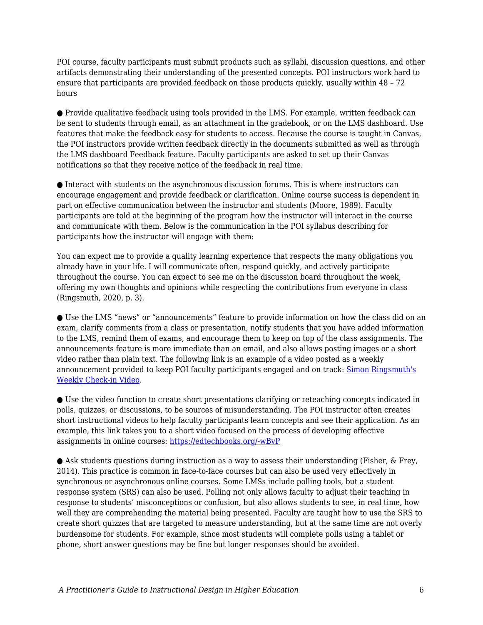POI course, faculty participants must submit products such as syllabi, discussion questions, and other artifacts demonstrating their understanding of the presented concepts. POI instructors work hard to ensure that participants are provided feedback on those products quickly, usually within 48 – 72 hours

● Provide qualitative feedback using tools provided in the LMS. For example, written feedback can be sent to students through email, as an attachment in the gradebook, or on the LMS dashboard. Use features that make the feedback easy for students to access. Because the course is taught in Canvas, the POI instructors provide written feedback directly in the documents submitted as well as through the LMS dashboard Feedback feature. Faculty participants are asked to set up their Canvas notifications so that they receive notice of the feedback in real time.

● Interact with students on the asynchronous discussion forums. This is where instructors can encourage engagement and provide feedback or clarification. Online course success is dependent in part on effective communication between the instructor and students (Moore, 1989). Faculty participants are told at the beginning of the program how the instructor will interact in the course and communicate with them. Below is the communication in the POI syllabus describing for participants how the instructor will engage with them:

You can expect me to provide a quality learning experience that respects the many obligations you already have in your life. I will communicate often, respond quickly, and actively participate throughout the course. You can expect to see me on the discussion board throughout the week, offering my own thoughts and opinions while respecting the contributions from everyone in class (Ringsmuth, 2020, p. 3).

● Use the LMS "news" or "announcements" feature to provide information on how the class did on an exam, clarify comments from a class or presentation, notify students that you have added information to the LMS, remind them of exams, and encourage them to keep on top of the class assignments. The announcements feature is more immediate than an email, and also allows posting images or a short video rather than plain text. The following link is an example of a video posted as a weekly announcement provided to keep POI faculty participants engaged and on track[:](https://okstate.instructuremedia.com/embed/ed07bcf9-5ce2-48b5-ba00-11ec494a5bdb) [Simon Ringsmuth's](https://okstate.instructuremedia.com/embed/ed07bcf9-5ce2-48b5-ba00-11ec494a5bdb) [Weekly Check-in Video](https://okstate.instructuremedia.com/embed/ed07bcf9-5ce2-48b5-ba00-11ec494a5bdb).

● Use the video function to create short presentations clarifying or reteaching concepts indicated in polls, quizzes, or discussions, to be sources of misunderstanding. The POI instructor often creates short instructional videos to help faculty participants learn concepts and see their application. As an example, this link takes you to a short video focused on the process of developing effective assignments in online courses: [https://edtechbooks.org/-wBvP](https://itle.okstate.edu/teach-online-effectively.html)

● Ask students questions during instruction as a way to assess their understanding (Fisher, & Frey, 2014). This practice is common in face-to-face courses but can also be used very effectively in synchronous or asynchronous online courses. Some LMSs include polling tools, but a student response system (SRS) can also be used. Polling not only allows faculty to adjust their teaching in response to students' misconceptions or confusion, but also allows students to see, in real time, how well they are comprehending the material being presented. Faculty are taught how to use the SRS to create short quizzes that are targeted to measure understanding, but at the same time are not overly burdensome for students. For example, since most students will complete polls using a tablet or phone, short answer questions may be fine but longer responses should be avoided.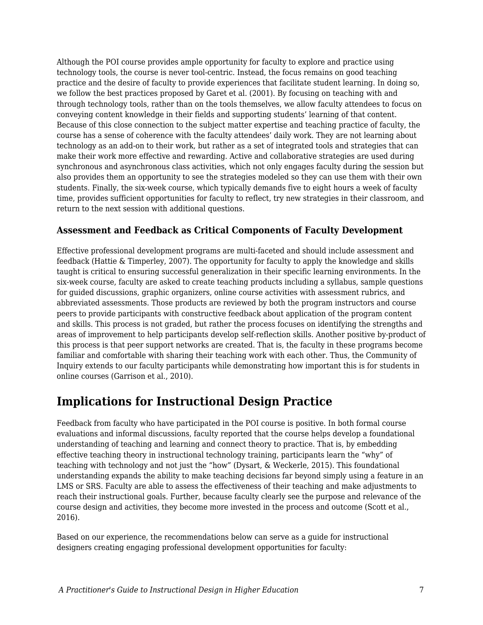Although the POI course provides ample opportunity for faculty to explore and practice using technology tools, the course is never tool-centric. Instead, the focus remains on good teaching practice and the desire of faculty to provide experiences that facilitate student learning. In doing so, we follow the best practices proposed by Garet et al. (2001). By focusing on teaching with and through technology tools, rather than on the tools themselves, we allow faculty attendees to focus on conveying content knowledge in their fields and supporting students' learning of that content. Because of this close connection to the subject matter expertise and teaching practice of faculty, the course has a sense of coherence with the faculty attendees' daily work. They are not learning about technology as an add-on to their work, but rather as a set of integrated tools and strategies that can make their work more effective and rewarding. Active and collaborative strategies are used during synchronous and asynchronous class activities, which not only engages faculty during the session but also provides them an opportunity to see the strategies modeled so they can use them with their own students. Finally, the six-week course, which typically demands five to eight hours a week of faculty time, provides sufficient opportunities for faculty to reflect, try new strategies in their classroom, and return to the next session with additional questions.

### **Assessment and Feedback as Critical Components of Faculty Development**

Effective professional development programs are multi-faceted and should include assessment and feedback (Hattie & Timperley, 2007). The opportunity for faculty to apply the knowledge and skills taught is critical to ensuring successful generalization in their specific learning environments. In the six-week course, faculty are asked to create teaching products including a syllabus, sample questions for guided discussions, graphic organizers, online course activities with assessment rubrics, and abbreviated assessments. Those products are reviewed by both the program instructors and course peers to provide participants with constructive feedback about application of the program content and skills. This process is not graded, but rather the process focuses on identifying the strengths and areas of improvement to help participants develop self-reflection skills. Another positive by-product of this process is that peer support networks are created. That is, the faculty in these programs become familiar and comfortable with sharing their teaching work with each other. Thus, the Community of Inquiry extends to our faculty participants while demonstrating how important this is for students in online courses (Garrison et al., 2010).

### **Implications for Instructional Design Practice**

Feedback from faculty who have participated in the POI course is positive. In both formal course evaluations and informal discussions, faculty reported that the course helps develop a foundational understanding of teaching and learning and connect theory to practice. That is, by embedding effective teaching theory in instructional technology training, participants learn the "why" of teaching with technology and not just the "how" (Dysart, & Weckerle, 2015). This foundational understanding expands the ability to make teaching decisions far beyond simply using a feature in an LMS or SRS. Faculty are able to assess the effectiveness of their teaching and make adjustments to reach their instructional goals. Further, because faculty clearly see the purpose and relevance of the course design and activities, they become more invested in the process and outcome (Scott et al., 2016).

Based on our experience, the recommendations below can serve as a guide for instructional designers creating engaging professional development opportunities for faculty: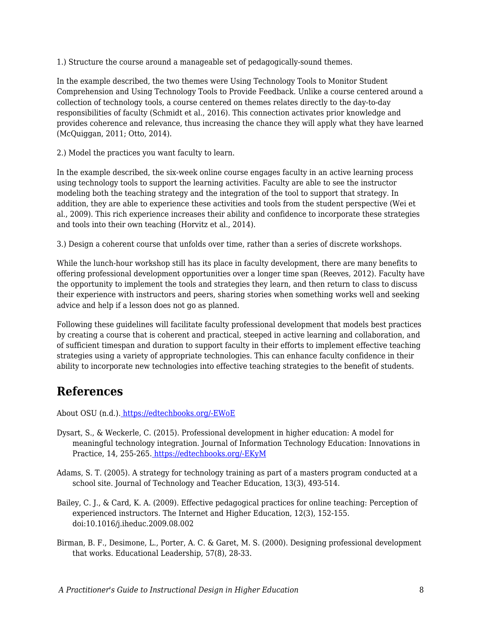1.) Structure the course around a manageable set of pedagogically-sound themes.

In the example described, the two themes were Using Technology Tools to Monitor Student Comprehension and Using Technology Tools to Provide Feedback. Unlike a course centered around a collection of technology tools, a course centered on themes relates directly to the day-to-day responsibilities of faculty (Schmidt et al., 2016). This connection activates prior knowledge and provides coherence and relevance, thus increasing the chance they will apply what they have learned (McQuiggan, 2011; Otto, 2014).

2.) Model the practices you want faculty to learn.

In the example described, the six-week online course engages faculty in an active learning process using technology tools to support the learning activities. Faculty are able to see the instructor modeling both the teaching strategy and the integration of the tool to support that strategy. In addition, they are able to experience these activities and tools from the student perspective (Wei et al., 2009). This rich experience increases their ability and confidence to incorporate these strategies and tools into their own teaching (Horvitz et al., 2014).

3.) Design a coherent course that unfolds over time, rather than a series of discrete workshops.

While the lunch-hour workshop still has its place in faculty development, there are many benefits to offering professional development opportunities over a longer time span (Reeves, 2012). Faculty have the opportunity to implement the tools and strategies they learn, and then return to class to discuss their experience with instructors and peers, sharing stories when something works well and seeking advice and help if a lesson does not go as planned.

Following these guidelines will facilitate faculty professional development that models best practices by creating a course that is coherent and practical, steeped in active learning and collaboration, and of sufficient timespan and duration to support faculty in their efforts to implement effective teaching strategies using a variety of appropriate technologies. This can enhance faculty confidence in their ability to incorporate new technologies into effective teaching strategies to the benefit of students.

### **References**

About OSU (n.d.)[.](https://go.okstate.edu/about-osu/) [https://edtechbooks.org/-EWoE](https://go.okstate.edu/about-osu/)

- Dysart, S., & Weckerle, C. (2015). Professional development in higher education: A model for meaningful technology integration. Journal of Information Technology Education: Innovations in Practice, 14, 255-265. [https://edtechbooks.org/-EKyM](http://www.jite.org/documents/Vol14/JITEv14IIPp255-265Dysart2106.pdf)
- Adams, S. T. (2005). A strategy for technology training as part of a masters program conducted at a school site. Journal of Technology and Teacher Education, 13(3), 493-514.
- Bailey, C. J., & Card, K. A. (2009). Effective pedagogical practices for online teaching: Perception of experienced instructors. The Internet and Higher Education, 12(3), 152-155. doi:10.1016/j.iheduc.2009.08.002
- Birman, B. F., Desimone, L., Porter, A. C. & Garet, M. S. (2000). Designing professional development that works. Educational Leadership, 57(8), 28-33.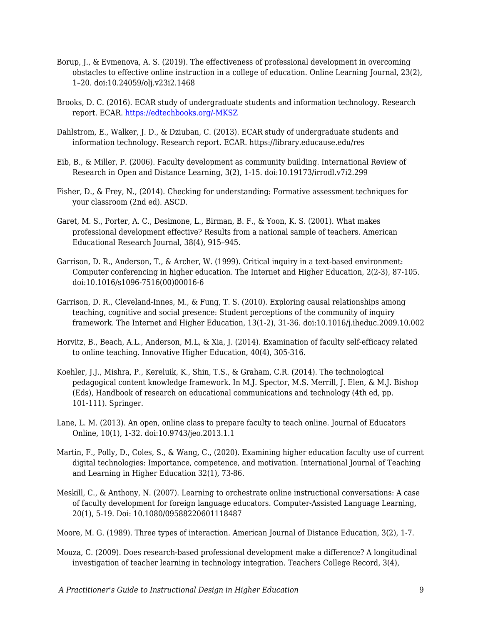- Borup, J., & Evmenova, A. S. (2019). The effectiveness of professional development in overcoming obstacles to effective online instruction in a college of education. Online Learning Journal, 23(2), 1–20. doi:10.24059/olj.v23i2.1468
- Brooks, D. C. (2016). ECAR study of undergraduate students and information technology. Research report. ECAR. [https://edtechbooks.org/-MKSZ](https://library.educause.edu/resources/2016/6/2016-students-and-technology-researchstudy)
- Dahlstrom, E., Walker, J. D., & Dziuban, C. (2013). ECAR study of undergraduate students and information technology. Research report. ECAR. https://library.educause.edu/res
- Eib, B., & Miller, P. (2006). Faculty development as community building. International Review of Research in Open and Distance Learning, 3(2), 1-15. doi:10.19173/irrodl.v7i2.299
- Fisher, D., & Frey, N., (2014). Checking for understanding: Formative assessment techniques for your classroom (2nd ed). ASCD.
- Garet, M. S., Porter, A. C., Desimone, L., Birman, B. F., & Yoon, K. S. (2001). What makes professional development effective? Results from a national sample of teachers. American Educational Research Journal, 38(4), 915–945.
- Garrison, D. R., Anderson, T., & Archer, W. (1999). Critical inquiry in a text-based environment: Computer conferencing in higher education. The Internet and Higher Education, 2(2-3), 87-105. doi:10.1016/s1096-7516(00)00016-6
- Garrison, D. R., Cleveland-Innes, M., & Fung, T. S. (2010). Exploring causal relationships among teaching, cognitive and social presence: Student perceptions of the community of inquiry framework. The Internet and Higher Education, 13(1-2), 31-36. doi:10.1016/j.iheduc.2009.10.002
- Horvitz, B., Beach, A.L., Anderson, M.L, & Xia, J. (2014). Examination of faculty self-efficacy related to online teaching. Innovative Higher Education, 40(4), 305-316.
- Koehler, J.J., Mishra, P., Kereluik, K., Shin, T.S., & Graham, C.R. (2014). The technological pedagogical content knowledge framework. In M.J. Spector, M.S. Merrill, J. Elen, & M.J. Bishop (Eds), Handbook of research on educational communications and technology (4th ed, pp. 101-111). Springer.
- Lane, L. M. (2013). An open, online class to prepare faculty to teach online. Journal of Educators Online, 10(1), 1-32. doi:10.9743/jeo.2013.1.1
- Martin, F., Polly, D., Coles, S., & Wang, C., (2020). Examining higher education faculty use of current digital technologies: Importance, competence, and motivation. International Journal of Teaching and Learning in Higher Education 32(1), 73-86.
- Meskill, C., & Anthony, N. (2007). Learning to orchestrate online instructional conversations: A case of faculty development for foreign language educators. Computer-Assisted Language Learning, 20(1), 5-19. Doi: 10.1080/09588220601118487

Moore, M. G. (1989). Three types of interaction. American Journal of Distance Education, 3(2), 1-7.

Mouza, C. (2009). Does research-based professional development make a difference? A longitudinal investigation of teacher learning in technology integration. Teachers College Record, 3(4),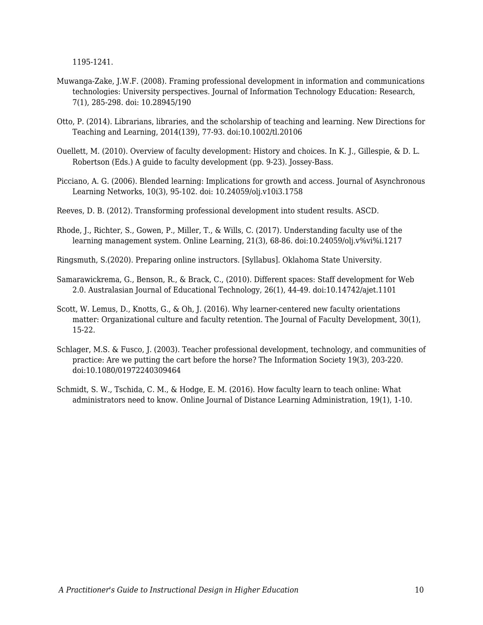1195-1241.

- Muwanga-Zake, J.W.F. (2008). Framing professional development in information and communications technologies: University perspectives. Journal of Information Technology Education: Research, 7(1), 285-298. doi: 10.28945/190
- Otto, P. (2014). Librarians, libraries, and the scholarship of teaching and learning. New Directions for Teaching and Learning, 2014(139), 77-93. doi:10.1002/tl.20106
- Ouellett, M. (2010). Overview of faculty development: History and choices. In K. J., Gillespie, & D. L. Robertson (Eds.) A guide to faculty development (pp. 9-23). Jossey-Bass.
- Picciano, A. G. (2006). Blended learning: Implications for growth and access. Journal of Asynchronous Learning Networks, 10(3), 95-102. doi: 10.24059/olj.v10i3.1758
- Reeves, D. B. (2012). Transforming professional development into student results. ASCD.
- Rhode, J., Richter, S., Gowen, P., Miller, T., & Wills, C. (2017). Understanding faculty use of the learning management system. Online Learning, 21(3), 68-86. doi:10.24059/olj.v%vi%i.1217
- Ringsmuth, S.(2020). Preparing online instructors. [Syllabus]. Oklahoma State University.
- Samarawickrema, G., Benson, R., & Brack, C., (2010). Different spaces: Staff development for Web 2.0. Australasian Journal of Educational Technology, 26(1), 44-49. doi:10.14742/ajet.1101
- Scott, W. Lemus, D., Knotts, G., & Oh, J. (2016). Why learner-centered new faculty orientations matter: Organizational culture and faculty retention. The Journal of Faculty Development, 30(1), 15-22.
- Schlager, M.S. & Fusco, J. (2003). Teacher professional development, technology, and communities of practice: Are we putting the cart before the horse? The Information Society 19(3), 203-220. doi:10.1080/01972240309464
- Schmidt, S. W., Tschida, C. M., & Hodge, E. M. (2016). How faculty learn to teach online: What administrators need to know. Online Journal of Distance Learning Administration, 19(1), 1-10.